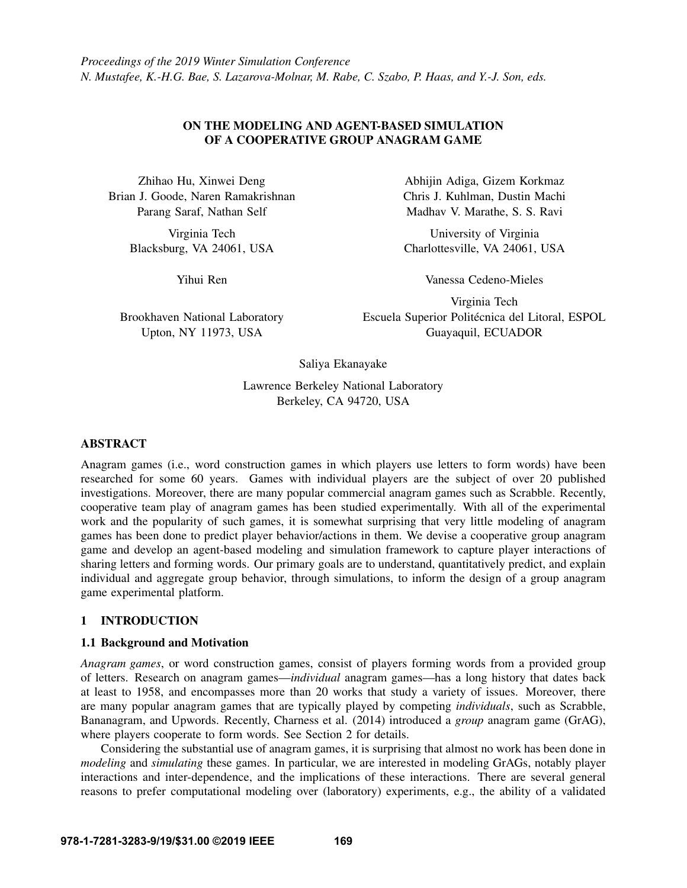## ON THE MODELING AND AGENT-BASED SIMULATION OF A COOPERATIVE GROUP ANAGRAM GAME

Zhihao Hu, Xinwei Deng Brian J. Goode, Naren Ramakrishnan Parang Saraf, Nathan Self

> Virginia Tech Blacksburg, VA 24061, USA

> > Yihui Ren

Brookhaven National Laboratory Upton, NY 11973, USA

Abhijin Adiga, Gizem Korkmaz Chris J. Kuhlman, Dustin Machi Madhav V. Marathe, S. S. Ravi

University of Virginia Charlottesville, VA 24061, USA

Vanessa Cedeno-Mieles

Virginia Tech Escuela Superior Politécnica del Litoral, ESPOL Guayaquil, ECUADOR

Saliya Ekanayake

Lawrence Berkeley National Laboratory Berkeley, CA 94720, USA

## ABSTRACT

Anagram games (i.e., word construction games in which players use letters to form words) have been researched for some 60 years. Games with individual players are the subject of over 20 published investigations. Moreover, there are many popular commercial anagram games such as Scrabble. Recently, cooperative team play of anagram games has been studied experimentally. With all of the experimental work and the popularity of such games, it is somewhat surprising that very little modeling of anagram games has been done to predict player behavior/actions in them. We devise a cooperative group anagram game and develop an agent-based modeling and simulation framework to capture player interactions of sharing letters and forming words. Our primary goals are to understand, quantitatively predict, and explain individual and aggregate group behavior, through simulations, to inform the design of a group anagram game experimental platform.

# 1 INTRODUCTION

## 1.1 Background and Motivation

*Anagram games*, or word construction games, consist of players forming words from a provided group of letters. Research on anagram games—*individual* anagram games—has a long history that dates back at least to 1958, and encompasses more than 20 works that study a variety of issues. Moreover, there are many popular anagram games that are typically played by competing *individuals*, such as Scrabble, Bananagram, and Upwords. Recently, [Charness et al. \(2014\)](#page-11-0) introduced a *group* anagram game (GrAG), where players cooperate to form words. See Section [2](#page-2-0) for details.

Considering the substantial use of anagram games, it is surprising that almost no work has been done in *modeling* and *simulating* these games. In particular, we are interested in modeling GrAGs, notably player interactions and inter-dependence, and the implications of these interactions. There are several general reasons to prefer computational modeling over (laboratory) experiments, e.g., the ability of a validated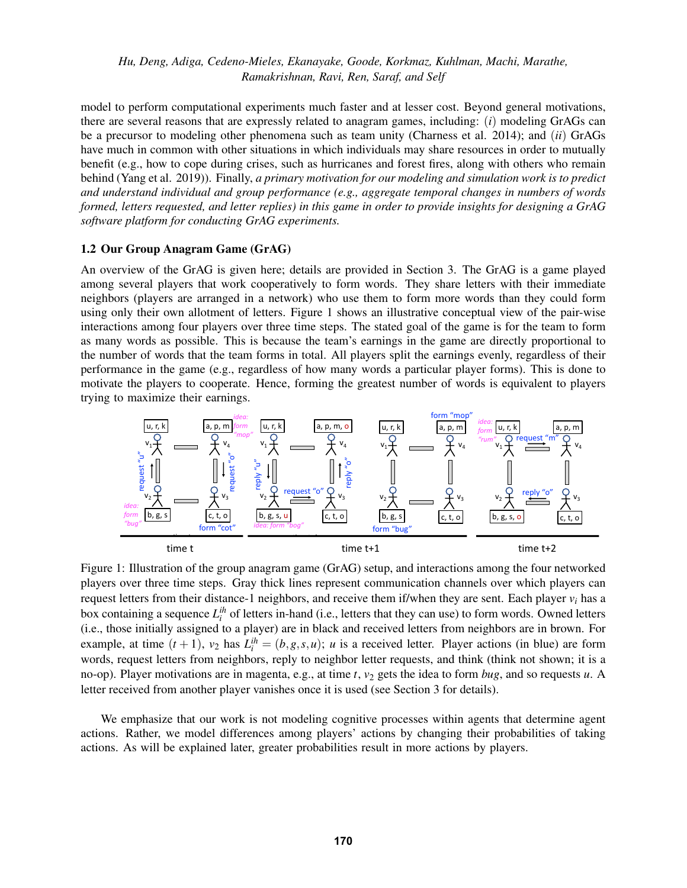model to perform computational experiments much faster and at lesser cost. Beyond general motivations, there are several reasons that are expressly related to anagram games, including: (*i*) modeling GrAGs can be a precursor to modeling other phenomena such as team unity [\(Charness et al. 2014\)](#page-11-0); and (*ii*) GrAGs have much in common with other situations in which individuals may share resources in order to mutually benefit (e.g., how to cope during crises, such as hurricanes and forest fires, along with others who remain behind [\(Yang et al. 2019\)](#page-11-1)). Finally, *a primary motivation for our modeling and simulation work is to predict and understand individual and group performance (e.g., aggregate temporal changes in numbers of words formed, letters requested, and letter replies) in this game in order to provide insights for designing a GrAG software platform for conducting GrAG experiments.*

#### 1.2 Our Group Anagram Game (GrAG)

An overview of the GrAG is given here; details are provided in Section [3.](#page-3-0) The GrAG is a game played among several players that work cooperatively to form words. They share letters with their immediate neighbors (players are arranged in a network) who use them to form more words than they could form using only their own allotment of letters. Figure [1](#page-1-0) shows an illustrative conceptual view of the pair-wise interactions among four players over three time steps. The stated goal of the game is for the team to form as many words as possible. This is because the team's earnings in the game are directly proportional to the number of words that the team forms in total. All players split the earnings evenly, regardless of their performance in the game (e.g., regardless of how many words a particular player forms). This is done to motivate the players to cooperate. Hence, forming the greatest number of words is equivalent to players trying to maximize their earnings.

<span id="page-1-0"></span>

Figure 1: Illustration of the group anagram game (GrAG) setup, and interactions among the four networked players over three time steps. Gray thick lines represent communication channels over which players can request letters from their distance-1 neighbors, and receive them if/when they are sent. Each player *v<sup>i</sup>* has a box containing a sequence  $L_i^{ih}$  of letters in-hand (i.e., letters that they can use) to form words. Owned letters (i.e., those initially assigned to a player) are in black and received letters from neighbors are in brown. For example, at time  $(t + 1)$ ,  $v_2$  has  $L_i^{ih} = (b, g, s, u)$ ; *u* is a received letter. Player actions (in blue) are form words, request letters from neighbors, reply to neighbor letter requests, and think (think not shown; it is a no-op). Player motivations are in magenta, e.g., at time *t*,  $v_2$  gets the idea to form *bug*, and so requests *u*. A letter received from another player vanishes once it is used (see Section [3](#page-3-0) for details).

We emphasize that our work is not modeling cognitive processes within agents that determine agent actions. Rather, we model differences among players' actions by changing their probabilities of taking actions. As will be explained later, greater probabilities result in more actions by players.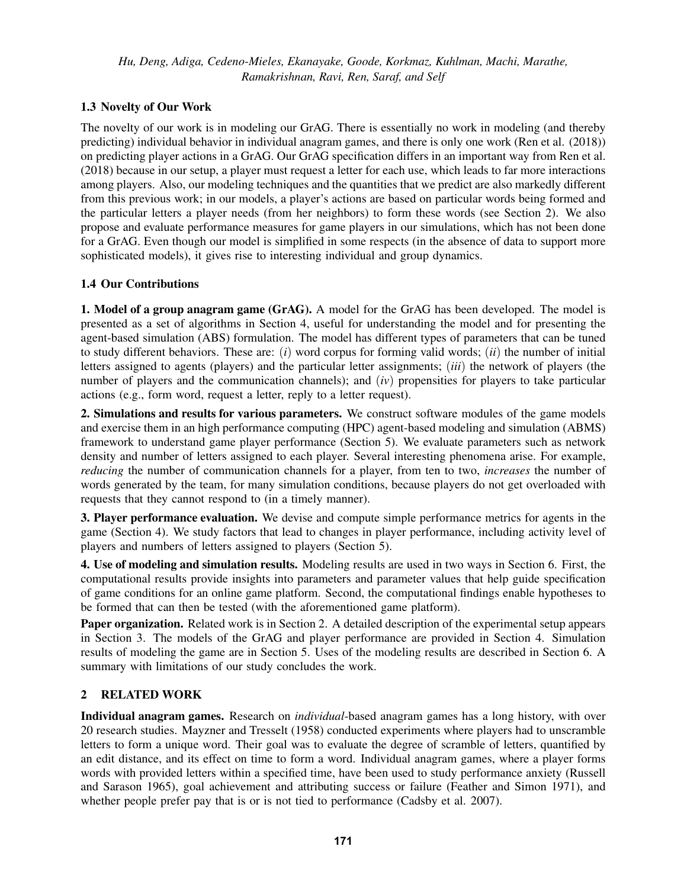# <span id="page-2-1"></span>1.3 Novelty of Our Work

The novelty of our work is in modeling our GrAG. There is essentially no work in modeling (and thereby predicting) individual behavior in individual anagram games, and there is only one work [\(Ren et al. \(2018\)\)](#page-11-2) on predicting player actions in a GrAG. Our GrAG specification differs in an important way from [Ren et al.](#page-11-2) [\(2018\)](#page-11-2) because in our setup, a player must request a letter for each use, which leads to far more interactions among players. Also, our modeling techniques and the quantities that we predict are also markedly different from this previous work; in our models, a player's actions are based on particular words being formed and the particular letters a player needs (from her neighbors) to form these words (see Section [2\)](#page-2-0). We also propose and evaluate performance measures for game players in our simulations, which has not been done for a GrAG. Even though our model is simplified in some respects (in the absence of data to support more sophisticated models), it gives rise to interesting individual and group dynamics.

# <span id="page-2-2"></span>1.4 Our Contributions

1. Model of a group anagram game (GrAG). A model for the GrAG has been developed. The model is presented as a set of algorithms in Section [4,](#page-4-0) useful for understanding the model and for presenting the agent-based simulation (ABS) formulation. The model has different types of parameters that can be tuned to study different behaviors. These are: (*i*) word corpus for forming valid words; (*ii*) the number of initial letters assigned to agents (players) and the particular letter assignments; (*iii*) the network of players (the number of players and the communication channels); and (*iv*) propensities for players to take particular actions (e.g., form word, request a letter, reply to a letter request).

2. Simulations and results for various parameters. We construct software modules of the game models and exercise them in an high performance computing (HPC) agent-based modeling and simulation (ABMS) framework to understand game player performance (Section [5\)](#page-6-0). We evaluate parameters such as network density and number of letters assigned to each player. Several interesting phenomena arise. For example, *reducing* the number of communication channels for a player, from ten to two, *increases* the number of words generated by the team, for many simulation conditions, because players do not get overloaded with requests that they cannot respond to (in a timely manner).

3. Player performance evaluation. We devise and compute simple performance metrics for agents in the game (Section [4\)](#page-4-0). We study factors that lead to changes in player performance, including activity level of players and numbers of letters assigned to players (Section [5\)](#page-6-0).

4. Use of modeling and simulation results. Modeling results are used in two ways in Section [6.](#page-10-0) First, the computational results provide insights into parameters and parameter values that help guide specification of game conditions for an online game platform. Second, the computational findings enable hypotheses to be formed that can then be tested (with the aforementioned game platform).

Paper organization. Related work is in Section [2.](#page-2-0) A detailed description of the experimental setup appears in Section [3.](#page-3-0) The models of the GrAG and player performance are provided in Section [4.](#page-4-0) Simulation results of modeling the game are in Section [5.](#page-6-0) Uses of the modeling results are described in Section [6.](#page-10-0) A summary with limitations of our study concludes the work.

# <span id="page-2-0"></span>2 RELATED WORK

Individual anagram games. Research on *individual*-based anagram games has a long history, with over 20 research studies. [Mayzner and Tresselt \(1958\)](#page-11-3) conducted experiments where players had to unscramble letters to form a unique word. Their goal was to evaluate the degree of scramble of letters, quantified by an edit distance, and its effect on time to form a word. Individual anagram games, where a player forms words with provided letters within a specified time, have been used to study performance anxiety [\(Russell](#page-11-4) [and Sarason 1965\)](#page-11-4), goal achievement and attributing success or failure [\(Feather and Simon 1971\)](#page-11-5), and whether people prefer pay that is or is not tied to performance [\(Cadsby et al. 2007\)](#page-11-6).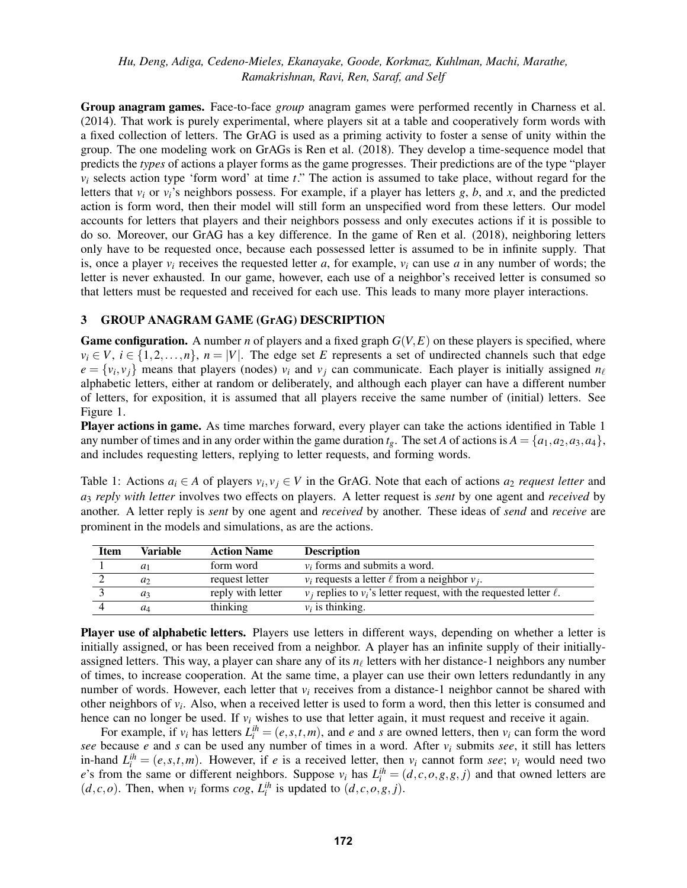Group anagram games. Face-to-face *group* anagram games were performed recently in [Charness et al.](#page-11-0) [\(2014\).](#page-11-0) That work is purely experimental, where players sit at a table and cooperatively form words with a fixed collection of letters. The GrAG is used as a priming activity to foster a sense of unity within the group. The one modeling work on GrAGs is [Ren et al. \(2018\).](#page-11-2) They develop a time-sequence model that predicts the *types* of actions a player forms as the game progresses. Their predictions are of the type "player *v<sup>i</sup>* selects action type 'form word' at time *t*." The action is assumed to take place, without regard for the letters that  $v_i$  or  $v_i$ 's neighbors possess. For example, if a player has letters  $g, b$ , and  $x$ , and the predicted action is form word, then their model will still form an unspecified word from these letters. Our model accounts for letters that players and their neighbors possess and only executes actions if it is possible to do so. Moreover, our GrAG has a key difference. In the game of [Ren et al. \(2018\),](#page-11-2) neighboring letters only have to be requested once, because each possessed letter is assumed to be in infinite supply. That is, once a player  $v_i$  receives the requested letter *a*, for example,  $v_i$  can use *a* in any number of words; the letter is never exhausted. In our game, however, each use of a neighbor's received letter is consumed so that letters must be requested and received for each use. This leads to many more player interactions.

## <span id="page-3-0"></span>3 GROUP ANAGRAM GAME (GrAG) DESCRIPTION

**Game configuration.** A number *n* of players and a fixed graph  $G(V, E)$  on these players is specified, where  $v_i \in V$ ,  $i \in \{1, 2, ..., n\}$ ,  $n = |V|$ . The edge set *E* represents a set of undirected channels such that edge  $e = \{v_i, v_j\}$  means that players (nodes)  $v_i$  and  $v_j$  can communicate. Each player is initially assigned  $n_\ell$ alphabetic letters, either at random or deliberately, and although each player can have a different number of letters, for exposition, it is assumed that all players receive the same number of (initial) letters. See Figure [1.](#page-1-0)

Player actions in game. As time marches forward, every player can take the actions identified in Table [1](#page-3-1) any number of times and in any order within the game duration  $t_g$ . The set *A* of actions is  $A = \{a_1, a_2, a_3, a_4\}$ , and includes requesting letters, replying to letter requests, and forming words.

<span id="page-3-1"></span>Table 1: Actions  $a_i \in A$  of players  $v_i, v_j \in V$  in the GrAG. Note that each of actions  $a_2$  *request letter* and *a*<sup>3</sup> *reply with letter* involves two effects on players. A letter request is *sent* by one agent and *received* by another. A letter reply is *sent* by one agent and *received* by another. These ideas of *send* and *receive* are prominent in the models and simulations, as are the actions.

| <b>Item</b> | Variable       | <b>Action Name</b> | <b>Description</b>                                                           |
|-------------|----------------|--------------------|------------------------------------------------------------------------------|
|             | $a_1$          | form word          | $v_i$ forms and submits a word.                                              |
|             | a <sub>2</sub> | request letter     | $v_i$ requests a letter $\ell$ from a neighbor $v_i$ .                       |
|             | $a_3$          | reply with letter  | $v_i$ replies to $v_i$ 's letter request, with the requested letter $\ell$ . |
|             | $a_4$          | thinking           | $v_i$ is thinking.                                                           |

Player use of alphabetic letters. Players use letters in different ways, depending on whether a letter is initially assigned, or has been received from a neighbor. A player has an infinite supply of their initiallyassigned letters. This way, a player can share any of its  $n_\ell$  letters with her distance-1 neighbors any number of times, to increase cooperation. At the same time, a player can use their own letters redundantly in any number of words. However, each letter that  $v_i$  receives from a distance-1 neighbor cannot be shared with other neighbors of *v<sup>i</sup>* . Also, when a received letter is used to form a word, then this letter is consumed and hence can no longer be used. If *v<sup>i</sup>* wishes to use that letter again, it must request and receive it again.

For example, if  $v_i$  has letters  $L_i^{ih} = (e, s, t, m)$ , and *e* and *s* are owned letters, then  $v_i$  can form the word *see* because *e* and *s* can be used any number of times in a word. After *v<sup>i</sup>* submits *see*, it still has letters in-hand  $L_i^{ih} = (e, s, t, m)$ . However, if *e* is a received letter, then *v<sub>i</sub>* cannot form *see*; *v<sub>i</sub>* would need two *e*'s from the same or different neighbors. Suppose  $v_i$  has  $L_i^{ih} = (d, c, o, g, g, j)$  and that owned letters are  $(d, c, o)$ . Then, when  $v_i$  forms  $cog$ ,  $L_i^{ih}$  is updated to  $(d, c, o, g, j)$ .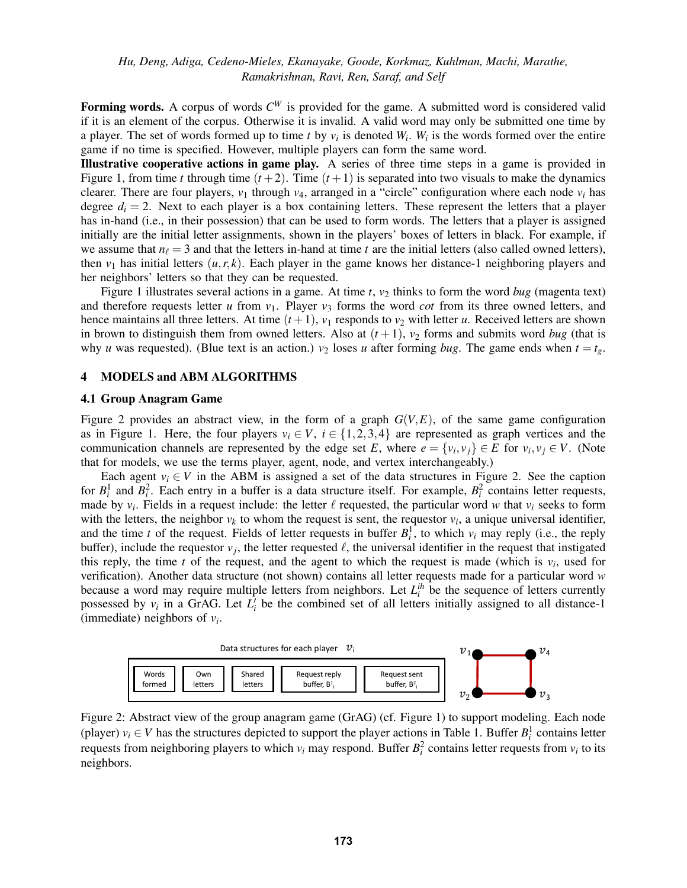Forming words. A corpus of words  $C^W$  is provided for the game. A submitted word is considered valid if it is an element of the corpus. Otherwise it is invalid. A valid word may only be submitted one time by a player. The set of words formed up to time  $t$  by  $v_i$  is denoted  $W_i$ .  $W_i$  is the words formed over the entire game if no time is specified. However, multiple players can form the same word.

Illustrative cooperative actions in game play. A series of three time steps in a game is provided in Figure [1,](#page-1-0) from time *t* through time  $(t+2)$ . Time  $(t+1)$  is separated into two visuals to make the dynamics clearer. There are four players,  $v_1$  through  $v_4$ , arranged in a "circle" configuration where each node  $v_i$  has degree  $d_i = 2$ . Next to each player is a box containing letters. These represent the letters that a player has in-hand (i.e., in their possession) that can be used to form words. The letters that a player is assigned initially are the initial letter assignments, shown in the players' boxes of letters in black. For example, if we assume that  $n_\ell = 3$  and that the letters in-hand at time *t* are the initial letters (also called owned letters), then  $v_1$  has initial letters  $(u, r, k)$ . Each player in the game knows her distance-1 neighboring players and her neighbors' letters so that they can be requested.

Figure [1](#page-1-0) illustrates several actions in a game. At time  $t$ ,  $v_2$  thinks to form the word *bug* (magenta text) and therefore requests letter *u* from  $v_1$ . Player  $v_3$  forms the word *cot* from its three owned letters, and hence maintains all three letters. At time  $(t + 1)$ ,  $v_1$  responds to  $v_2$  with letter *u*. Received letters are shown in brown to distinguish them from owned letters. Also at  $(t+1)$ ,  $v_2$  forms and submits word *bug* (that is why *u* was requested). (Blue text is an action.)  $v_2$  loses *u* after forming *bug*. The game ends when  $t = t_g$ .

#### <span id="page-4-0"></span>4 MODELS and ABM ALGORITHMS

#### 4.1 Group Anagram Game

Figure [2](#page-4-1) provides an abstract view, in the form of a graph  $G(V, E)$ , of the same game configuration as in Figure [1.](#page-1-0) Here, the four players  $v_i \in V$ ,  $i \in \{1,2,3,4\}$  are represented as graph vertices and the communication channels are represented by the edge set *E*, where  $e = \{v_i, v_j\} \in E$  for  $v_i, v_j \in V$ . (Note that for models, we use the terms player, agent, node, and vertex interchangeably.)

Each agent  $v_i \in V$  in the ABM is assigned a set of the data structures in Figure [2.](#page-4-1) See the caption for  $B_i^1$  and  $B_i^2$ . Each entry in a buffer is a data structure itself. For example,  $B_i^2$  contains letter requests, made by  $v_i$ . Fields in a request include: the letter  $\ell$  requested, the particular word w that  $v_i$  seeks to form with the letters, the neighbor  $v_k$  to whom the request is sent, the requestor  $v_i$ , a unique universal identifier, and the time *t* of the request. Fields of letter requests in buffer  $B_i^1$ , to which  $v_i$  may reply (i.e., the reply buffer), include the requestor  $v_j$ , the letter requested  $\ell$ , the universal identifier in the request that instigated this reply, the time  $t$  of the request, and the agent to which the request is made (which is  $v_i$ , used for verification). Another data structure (not shown) contains all letter requests made for a particular word *w* because a word may require multiple letters from neighbors. Let  $L_i^{ih}$  be the sequence of letters currently possessed by  $v_i$  in a GrAG. Let  $L_i^j$  be the combined set of all letters initially assigned to all distance-1 (immediate) neighbors of  $v_i$ .

<span id="page-4-1"></span>

Figure 2: Abstract view of the group anagram game (GrAG) (cf. Figure [1\)](#page-1-0) to support modeling. Each node (player)  $v_i \in V$  has the structures depicted to support the player actions in Table [1.](#page-3-1) Buffer  $B_i^1$  contains letter requests from neighboring players to which  $v_i$  may respond. Buffer  $B_i^2$  contains letter requests from  $v_i$  to its neighbors.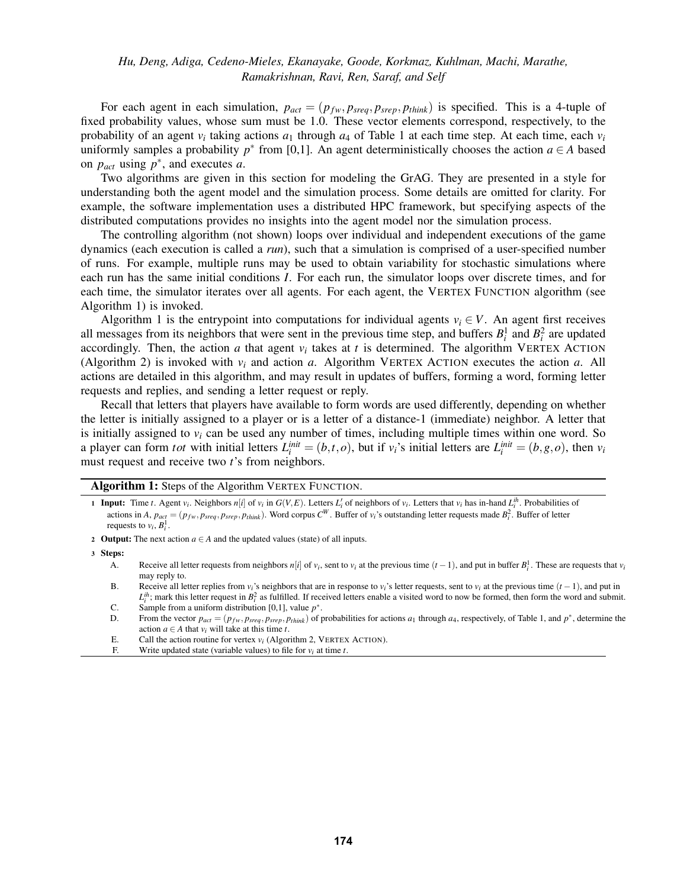For each agent in each simulation,  $p_{act} = (p_{fw}, p_{sreq}, p_{srep}, p_{think})$  is specified. This is a 4-tuple of fixed probability values, whose sum must be 1.0. These vector elements correspond, respectively, to the probability of an agent *v<sup>i</sup>* taking actions *a*<sup>1</sup> through *a*<sup>4</sup> of Table [1](#page-3-1) at each time step. At each time, each *v<sup>i</sup>* uniformly samples a probability  $p^*$  from [0,1]. An agent deterministically chooses the action  $a \in A$  based on  $p_{act}$  using  $p^*$ , and executes *a*.

Two algorithms are given in this section for modeling the GrAG. They are presented in a style for understanding both the agent model and the simulation process. Some details are omitted for clarity. For example, the software implementation uses a distributed HPC framework, but specifying aspects of the distributed computations provides no insights into the agent model nor the simulation process.

The controlling algorithm (not shown) loops over individual and independent executions of the game dynamics (each execution is called a *run*), such that a simulation is comprised of a user-specified number of runs. For example, multiple runs may be used to obtain variability for stochastic simulations where each run has the same initial conditions *I*. For each run, the simulator loops over discrete times, and for each time, the simulator iterates over all agents. For each agent, the VERTEX FUNCTION algorithm (see Algorithm [1\)](#page-5-0) is invoked.

Algorithm [1](#page-5-0) is the entrypoint into computations for individual agents  $v_i \in V$ . An agent first receives all messages from its neighbors that were sent in the previous time step, and buffers  $B_i^1$  and  $B_i^2$  are updated accordingly. Then, the action  $a$  that agent  $v_i$  takes at  $t$  is determined. The algorithm VERTEX ACTION (Algorithm [2\)](#page-6-1) is invoked with  $v_i$  and action *a*. Algorithm VERTEX ACTION executes the action *a*. All actions are detailed in this algorithm, and may result in updates of buffers, forming a word, forming letter requests and replies, and sending a letter request or reply.

Recall that letters that players have available to form words are used differently, depending on whether the letter is initially assigned to a player or is a letter of a distance-1 (immediate) neighbor. A letter that is initially assigned to  $v_i$  can be used any number of times, including multiple times within one word. So a player can form *tot* with initial letters  $L_i^{init} = (b,t,o)$ , but if  $v_i$ 's initial letters are  $L_i^{init} = (b,g,o)$ , then  $v_i$ must request and receive two *t*'s from neighbors.

Algorithm 1: Steps of the Algorithm VERTEX FUNCTION.

- **1 Input:** Time t. Agent  $v_i$ . Neighbors  $n[i]$  of  $v_i$  in  $G(V, E)$ . Letters  $L'_i$  of neighbors of  $v_i$ . Letters that  $v_i$  has in-hand  $L_i^{ih}$ . Probabilities of actions in A,  $p_{act} = (p_{fw}, p_{sreq}, p_{srep}, p_{thin})$ . Word corpus  $C^W$ . Buffer of  $v_i$ 's outstanding letter requests made  $B_i^2$ . Buffer of letter requests to  $v_i$ ,  $B_i^1$ .
- 2 Output: The next action  $a \in A$  and the updated values (state) of all inputs.

3 Steps:

- A. Receive all letter requests from neighbors  $n[i]$  of  $v_i$ , sent to  $v_i$  at the previous time  $(t-1)$ , and put in buffer  $B_i^1$ . These are requests that  $v_i$ may reply to.
- B. Receive all letter replies from  $v_i$ 's neighbors that are in response to  $v_i$ 's letter requests, sent to  $v_i$  at the previous time  $(t-1)$ , and put in
- $L_i^{ih}$ ; mark this letter request in  $B_i^2$  as fulfilled. If received letters enable a visited word to now be formed, then form the word and submit. C. Sample from a uniform distribution [0,1], value  $p^*$ .
- D. From the vector  $p_{act} = (p_{fw}, p_{sreg}, p_{step}, p_{think})$  of probabilities for actions  $a_1$  through  $a_4$ , respectively, of Table [1,](#page-3-1) and  $p^*$ , determine the action  $a \in A$  that  $v_i$  will take at this time  $t$ .
- E. Call the action routine for vertex  $v_i$  (Algorithm [2,](#page-6-1) VERTEX ACTION).
- <span id="page-5-0"></span>F. Write updated state (variable values) to file for  $v_i$  at time *t*.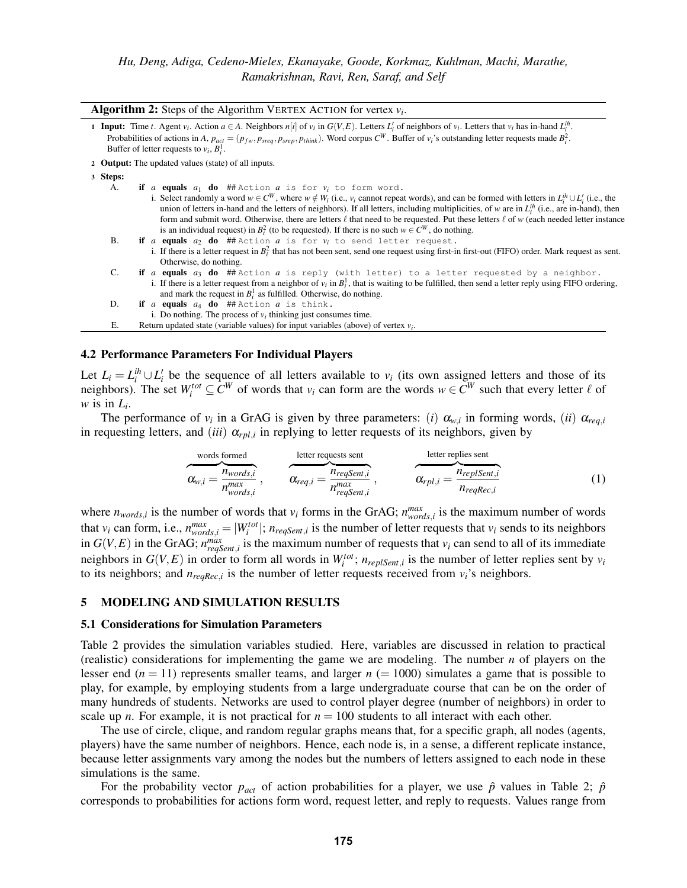| <b>Algorithm 2:</b> Steps of the Algorithm VERTEX ACTION for vertex $v_i$ . |                                                                                                                                                                                                                                                                                                                                                                                                                                                                                                                                                                                                                                                                |  |  |  |
|-----------------------------------------------------------------------------|----------------------------------------------------------------------------------------------------------------------------------------------------------------------------------------------------------------------------------------------------------------------------------------------------------------------------------------------------------------------------------------------------------------------------------------------------------------------------------------------------------------------------------------------------------------------------------------------------------------------------------------------------------------|--|--|--|
|                                                                             | <b>1 Input:</b> Time t. Agent $v_i$ . Action $a \in A$ . Neighbors $n[i]$ of $v_i$ in $G(V, E)$ . Letters $L'_i$ of neighbors of $v_i$ . Letters that $v_i$ has in-hand $L_i^{ih}$ .<br>Probabilities of actions in A, $p_{act} = (p_{fw}, p_{srep}, p_{srep}, p_{thin})$ . Word corpus $C^W$ . Buffer of $v_i$ 's outstanding letter requests made $B_i^2$ .<br>Buffer of letter requests to $v_i$ , $B_i^1$ .                                                                                                                                                                                                                                                |  |  |  |
|                                                                             | 2 <b>Output:</b> The updated values (state) of all inputs.                                                                                                                                                                                                                                                                                                                                                                                                                                                                                                                                                                                                     |  |  |  |
| 3 Steps:                                                                    |                                                                                                                                                                                                                                                                                                                                                                                                                                                                                                                                                                                                                                                                |  |  |  |
| А.                                                                          | if <i>a</i> equals $a_1$ do ## Action <i>a</i> is for $v_i$ to form word.<br>i. Select randomly a word $w \in C^W$ , where $w \notin W_i$ (i.e., $v_i$ cannot repeat words), and can be formed with letters in $L_i^h \cup L_i^r$ (i.e., the<br>union of letters in-hand and the letters of neighbors). If all letters, including multiplicities, of w are in $L_i^{ih}$ (i.e., are in-hand), then<br>form and submit word. Otherwise, there are letters $\ell$ that need to be requested. Put these letters $\ell$ of w (each needed letter instance<br>is an individual request) in $B_i^2$ (to be requested). If there is no such $w \in C^W$ , do nothing. |  |  |  |
| <b>B.</b>                                                                   | if a equals $a_2$ do ## Action a is for $v_i$ to send letter request.<br>i. If there is a letter request in $B_i^2$ that has not been sent, send one request using first-in first-out (FIFO) order. Mark request as sent.<br>Otherwise, do nothing.                                                                                                                                                                                                                                                                                                                                                                                                            |  |  |  |
| C.                                                                          | if $a$ equals $a_3$ do ## Action $a$ is reply (with letter) to a letter requested by a neighbor.<br>i. If there is a letter request from a neighbor of $v_i$ in $B_i^1$ , that is waiting to be fulfilled, then send a letter reply using FIFO ordering,<br>and mark the request in $B_i^1$ as fulfilled. Otherwise, do nothing.                                                                                                                                                                                                                                                                                                                               |  |  |  |
| D.                                                                          | if a equals $a_4$ do ## Action $a$ is think.                                                                                                                                                                                                                                                                                                                                                                                                                                                                                                                                                                                                                   |  |  |  |
|                                                                             | i. Do nothing. The process of $v_i$ thinking just consumes time.                                                                                                                                                                                                                                                                                                                                                                                                                                                                                                                                                                                               |  |  |  |
| Е.                                                                          | Return updated state (variable values) for input variables (above) of vertex $v_i$ .                                                                                                                                                                                                                                                                                                                                                                                                                                                                                                                                                                           |  |  |  |

#### <span id="page-6-2"></span><span id="page-6-1"></span>4.2 Performance Parameters For Individual Players

Let  $L_i = L_i^{ih} \cup L_i'$  be the sequence of all letters available to  $v_i$  (its own assigned letters and those of its neighbors). The set  $W_i^{tot} \subseteq C^W$  of words that  $v_i$  can form are the words  $w \in C^W$  such that every letter  $\ell$  of *w* is in  $L_i$ .

The performance of  $v_i$  in a GrAG is given by three parameters: (*i*)  $\alpha_{w,i}$  in forming words, (*ii*)  $\alpha_{req,i}$ in requesting letters, and *(iii)*  $\alpha_{rpl,i}$  in replying to letter requests of its neighbors, given by

\n
$$
\overbrace{\alpha_{w,i}}^{\text{words formed}} = \overbrace{\frac{n_{words,i}}{n_{words,i}}^{\text{letter requests sent}}}, \quad \overbrace{\alpha_{req,i}}^{\text{letter requests}} = \overbrace{\frac{n_{reqSent,i}}{n_{reqSent,i}}^{\text{next}}}, \quad \overbrace{\alpha_{rpl,i}}^{\text{letter replies sent}} = \overbrace{\frac{n_{replSent,i}}{n_{reqRec,i}}^{\text{PreplSent,i}}}
$$
\n

\n\n (1)\n

where  $n_{words,i}$  is the number of words that  $v_i$  forms in the GrAG;  $n_{words,i}^{max}$  is the maximum number of words that  $v_i$  can form, i.e.,  $n_{words,i}^{max} = |W_i^{tot}|$ ;  $n_{reqSent,i}$  is the number of letter requests that  $v_i$  sends to its neighbors in  $G(V, E)$  in the GrAG;  $n_{regSent,i}^{max}$  is the maximum number of requests that  $v_i$  can send to all of its immediate neighbors in  $G(V, E)$  in order to form all words in  $W_i^{tot}$ ;  $n_{replSent,i}$  is the number of letter replies sent by  $v_i$ to its neighbors; and  $n_{reqRec,i}$  is the number of letter requests received from  $v_i$ 's neighbors.

#### <span id="page-6-0"></span>5 MODELING AND SIMULATION RESULTS

#### 5.1 Considerations for Simulation Parameters

Table [2](#page-7-0) provides the simulation variables studied. Here, variables are discussed in relation to practical (realistic) considerations for implementing the game we are modeling. The number *n* of players on the lesser end  $(n = 11)$  represents smaller teams, and larger  $n (= 1000)$  simulates a game that is possible to play, for example, by employing students from a large undergraduate course that can be on the order of many hundreds of students. Networks are used to control player degree (number of neighbors) in order to scale up *n*. For example, it is not practical for  $n = 100$  students to all interact with each other.

The use of circle, clique, and random regular graphs means that, for a specific graph, all nodes (agents, players) have the same number of neighbors. Hence, each node is, in a sense, a different replicate instance, because letter assignments vary among the nodes but the numbers of letters assigned to each node in these simulations is the same.

For the probability vector  $p_{act}$  of action probabilities for a player, we use  $\hat{p}$  values in Table [2;](#page-7-0)  $\hat{p}$ corresponds to probabilities for actions form word, request letter, and reply to requests. Values range from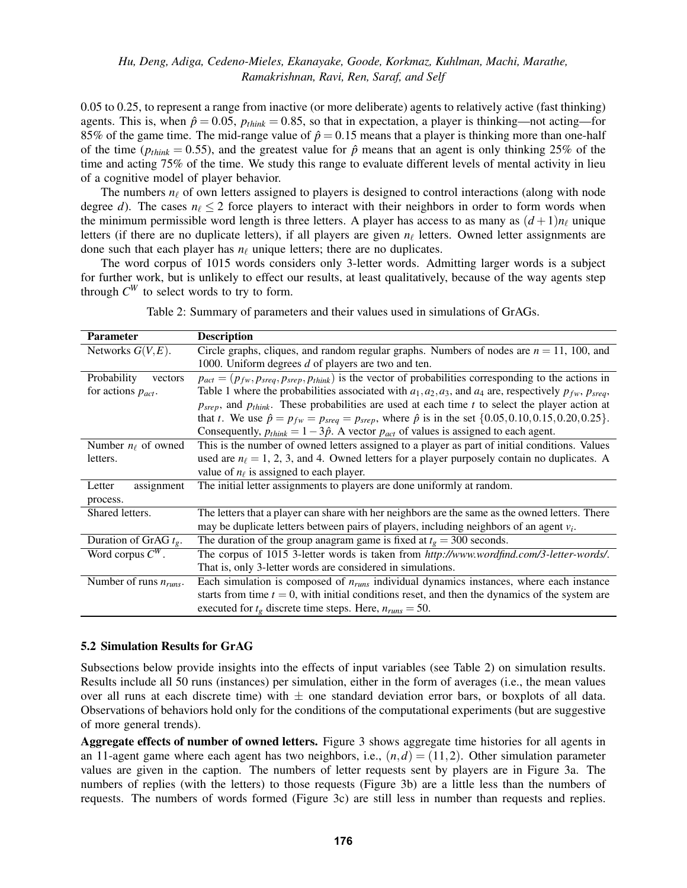0.05 to 0.25, to represent a range from inactive (or more deliberate) agents to relatively active (fast thinking) agents. This is, when  $\hat{p} = 0.05$ ,  $p_{think} = 0.85$ , so that in expectation, a player is thinking—not acting—for 85% of the game time. The mid-range value of  $\hat{p} = 0.15$  means that a player is thinking more than one-half of the time ( $p_{think} = 0.55$ ), and the greatest value for  $\hat{p}$  means that an agent is only thinking 25% of the time and acting 75% of the time. We study this range to evaluate different levels of mental activity in lieu of a cognitive model of player behavior.

The numbers  $n_\ell$  of own letters assigned to players is designed to control interactions (along with node degree *d*). The cases  $n_\ell \leq 2$  force players to interact with their neighbors in order to form words when the minimum permissible word length is three letters. A player has access to as many as  $(d+1)n_\ell$  unique letters (if there are no duplicate letters), if all players are given  $n_\ell$  letters. Owned letter assignments are done such that each player has  $n_\ell$  unique letters; there are no duplicates.

The word corpus of 1015 words considers only 3-letter words. Admitting larger words is a subject for further work, but is unlikely to effect our results, at least qualitatively, because of the way agents step through  $C^W$  to select words to try to form.

<span id="page-7-0"></span>

| <b>Parameter</b>               | <b>Description</b>                                                                                                           |
|--------------------------------|------------------------------------------------------------------------------------------------------------------------------|
| Networks $G(V, E)$ .           | Circle graphs, cliques, and random regular graphs. Numbers of nodes are $n = 11$ , 100, and                                  |
|                                | 1000. Uniform degrees d of players are two and ten.                                                                          |
| Probability<br>vectors         | $p_{act} = (p_{fw}, p_{sreq}, p_{srep}, p_{thin})$ is the vector of probabilities corresponding to the actions in            |
| for actions $p_{act}$ .        | Table 1 where the probabilities associated with $a_1, a_2, a_3$ , and $a_4$ are, respectively $p_{fw}$ , $p_{srea}$ ,        |
|                                | $p_{\text{Srep}}$ , and $p_{\text{think}}$ . These probabilities are used at each time t to select the player action at      |
|                                | that t. We use $\hat{p} = p_{fw} = p_{sreq} = p_{srep}$ , where $\hat{p}$ is in the set $\{0.05, 0.10, 0.15, 0.20, 0.25\}$ . |
|                                | Consequently, $p_{think} = 1 - 3\hat{p}$ . A vector $p_{act}$ of values is assigned to each agent.                           |
| Number $n_\ell$ of owned       | This is the number of owned letters assigned to a player as part of initial conditions. Values                               |
| letters.                       | used are $n_\ell = 1, 2, 3$ , and 4. Owned letters for a player purposely contain no duplicates. A                           |
|                                | value of $n_\ell$ is assigned to each player.                                                                                |
| assignment<br>Letter           | The initial letter assignments to players are done uniformly at random.                                                      |
| process.                       |                                                                                                                              |
| Shared letters.                | The letters that a player can share with her neighbors are the same as the owned letters. There                              |
|                                | may be duplicate letters between pairs of players, including neighbors of an agent $v_i$ .                                   |
| Duration of GrAG $t_{\rm g}$ . | The duration of the group anagram game is fixed at $tg = 300$ seconds.                                                       |
| Word corpus $C^W$ .            | The corpus of 1015 3-letter words is taken from http://www.wordfind.com/3-letter-words/.                                     |
|                                | That is, only 3-letter words are considered in simulations.                                                                  |
| Number of runs $n_{runs}$ .    | Each simulation is composed of $n_{runs}$ individual dynamics instances, where each instance                                 |
|                                | starts from time $t = 0$ , with initial conditions reset, and then the dynamics of the system are                            |
|                                | executed for $t_g$ discrete time steps. Here, $n_{runs} = 50$ .                                                              |

Table 2: Summary of parameters and their values used in simulations of GrAGs.

#### 5.2 Simulation Results for GrAG

Subsections below provide insights into the effects of input variables (see Table [2\)](#page-7-0) on simulation results. Results include all 50 runs (instances) per simulation, either in the form of averages (i.e., the mean values over all runs at each discrete time) with  $\pm$  one standard deviation error bars, or boxplots of all data. Observations of behaviors hold only for the conditions of the computational experiments (but are suggestive of more general trends).

Aggregate effects of number of owned letters. Figure [3](#page-8-0) shows aggregate time histories for all agents in an 11-agent game where each agent has two neighbors, i.e.,  $(n,d) = (11,2)$ . Other simulation parameter values are given in the caption. The numbers of letter requests sent by players are in Figure [3a.](#page-8-1) The numbers of replies (with the letters) to those requests (Figure [3b\)](#page-8-2) are a little less than the numbers of requests. The numbers of words formed (Figure [3c\)](#page-8-3) are still less in number than requests and replies.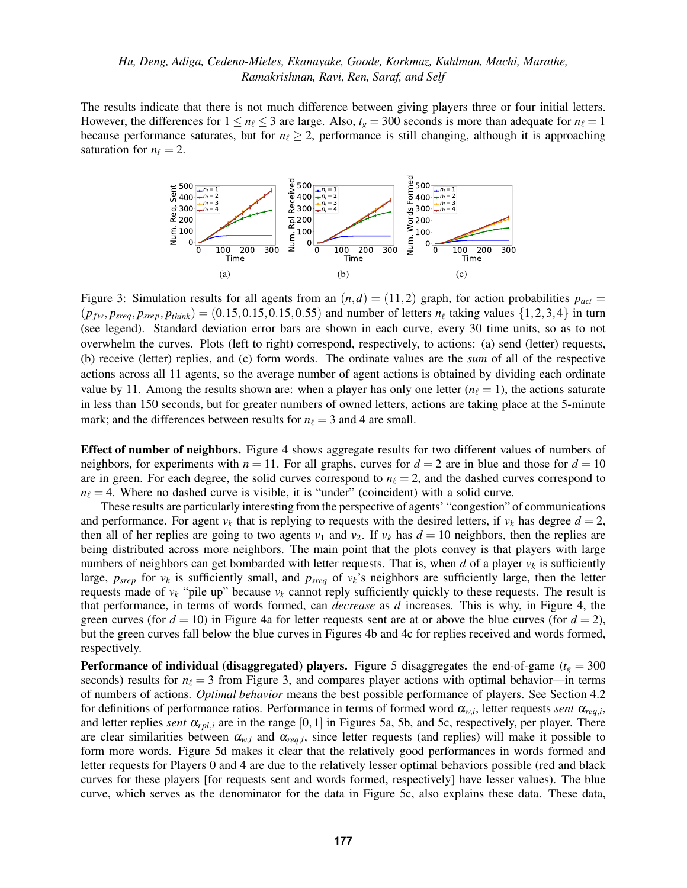<span id="page-8-1"></span><span id="page-8-0"></span>The results indicate that there is not much difference between giving players three or four initial letters. However, the differences for  $1 \le n_\ell \le 3$  are large. Also,  $t_g = 300$  seconds is more than adequate for  $n_\ell = 1$ because performance saturates, but for  $n_\ell \geq 2$ , performance is still changing, although it is approaching saturation for  $n_\ell = 2$ .

<span id="page-8-3"></span><span id="page-8-2"></span>

Figure 3: Simulation results for all agents from an  $(n,d) = (11,2)$  graph, for action probabilities  $p_{act} =$  $(p_{fw}, p_{sreq}, p_{srep}, p_{think}) = (0.15, 0.15, 0.15, 0.55)$  and number of letters  $n_{\ell}$  taking values  $\{1, 2, 3, 4\}$  in turn (see legend). Standard deviation error bars are shown in each curve, every 30 time units, so as to not overwhelm the curves. Plots (left to right) correspond, respectively, to actions: [\(a\)](#page-8-1) send (letter) requests, [\(b\)](#page-8-2) receive (letter) replies, and [\(c\)](#page-8-3) form words. The ordinate values are the *sum* of all of the respective actions across all 11 agents, so the average number of agent actions is obtained by dividing each ordinate value by 11. Among the results shown are: when a player has only one letter  $(n_\ell = 1)$ , the actions saturate in less than 150 seconds, but for greater numbers of owned letters, actions are taking place at the 5-minute mark; and the differences between results for  $n_\ell = 3$  and 4 are small.

Effect of number of neighbors. Figure [4](#page-9-0) shows aggregate results for two different values of numbers of neighbors, for experiments with  $n = 11$ . For all graphs, curves for  $d = 2$  are in blue and those for  $d = 10$ are in green. For each degree, the solid curves correspond to  $n_{\ell} = 2$ , and the dashed curves correspond to  $n_{\ell} = 4$ . Where no dashed curve is visible, it is "under" (coincident) with a solid curve.

These results are particularly interesting from the perspective of agents' "congestion" of communications and performance. For agent  $v_k$  that is replying to requests with the desired letters, if  $v_k$  has degree  $d = 2$ , then all of her replies are going to two agents  $v_1$  and  $v_2$ . If  $v_k$  has  $d = 10$  neighbors, then the replies are being distributed across more neighbors. The main point that the plots convey is that players with large numbers of neighbors can get bombarded with letter requests. That is, when  $d$  of a player  $v_k$  is sufficiently large,  $p_{\text{srep}}$  for  $v_k$  is sufficiently small, and  $p_{\text{sreq}}$  of  $v_k$ 's neighbors are sufficiently large, then the letter requests made of  $v_k$  "pile up" because  $v_k$  cannot reply sufficiently quickly to these requests. The result is that performance, in terms of words formed, can *decrease* as *d* increases. This is why, in Figure [4,](#page-9-0) the green curves (for  $d = 10$ ) in Figure [4a](#page-9-1) for letter requests sent are at or above the blue curves (for  $d = 2$ ), but the green curves fall below the blue curves in Figures [4b](#page-9-2) and [4c](#page-9-3) for replies received and words formed, respectively.

**Performance of individual (disaggregated) players.** Figure [5](#page-9-4) disaggregates the end-of-game ( $t_g = 300$ ) seconds) results for  $n_\ell = 3$  from Figure [3,](#page-8-0) and compares player actions with optimal behavior—in terms of numbers of actions. *Optimal behavior* means the best possible performance of players. See Section [4.2](#page-6-2) for definitions of performance ratios. Performance in terms of formed word  $\alpha_{w,i}$ , letter requests *sent*  $\alpha_{req,i}$ , and letter replies *sent*  $\alpha_{rpl,i}$  are in the range [0,1] in Figures [5a,](#page-9-5) [5b,](#page-9-6) and [5c,](#page-9-7) respectively, per player. There are clear similarities between  $\alpha_{w,i}$  and  $\alpha_{req,i}$ , since letter requests (and replies) will make it possible to form more words. Figure [5d](#page-9-8) makes it clear that the relatively good performances in words formed and letter requests for Players 0 and 4 are due to the relatively lesser optimal behaviors possible (red and black curves for these players [for requests sent and words formed, respectively] have lesser values). The blue curve, which serves as the denominator for the data in Figure [5c,](#page-9-7) also explains these data. These data,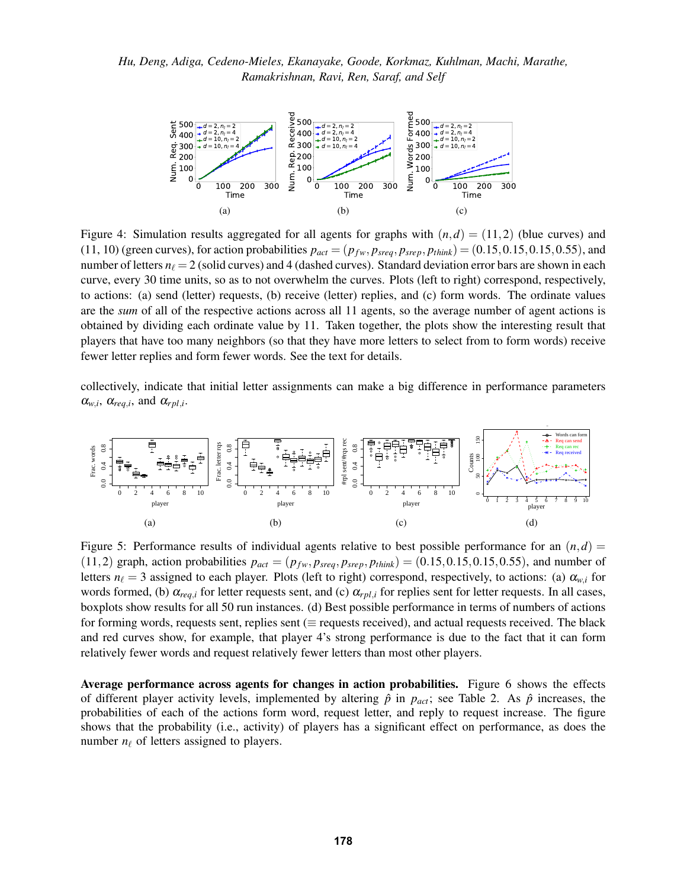<span id="page-9-3"></span><span id="page-9-2"></span><span id="page-9-1"></span><span id="page-9-0"></span>

Figure 4: Simulation results aggregated for all agents for graphs with  $(n,d) = (11,2)$  (blue curves) and (11, 10) (green curves), for action probabilities  $p_{act} = (p_{fw}, p_{sreq}, p_{srep}, p_{think}) = (0.15, 0.15, 0.15, 0.55)$ , and number of letters  $n_\ell = 2$  (solid curves) and 4 (dashed curves). Standard deviation error bars are shown in each curve, every 30 time units, so as to not overwhelm the curves. Plots (left to right) correspond, respectively, to actions: [\(a\)](#page-9-1) send (letter) requests, [\(b\)](#page-9-2) receive (letter) replies, and [\(c\)](#page-9-3) form words. The ordinate values are the *sum* of all of the respective actions across all 11 agents, so the average number of agent actions is obtained by dividing each ordinate value by 11. Taken together, the plots show the interesting result that players that have too many neighbors (so that they have more letters to select from to form words) receive fewer letter replies and form fewer words. See the text for details.  $\frac{1}{20}$ v  $\mathbf{a}$ Frac. words e<br>i  $\begin{bmatrix} 1 \\ 2 \end{bmatrix}$  $\frac{1}{\sqrt{2}}$  $\frac{1}{2}$ 

collectively, indicate that initial letter assignments can make a big difference in performance parameters  $\alpha_{w,i}$ ,  $\alpha_{req,i}$ , and  $\alpha_{rpl,i}$ . player

<span id="page-9-5"></span><span id="page-9-4"></span>

<span id="page-9-8"></span><span id="page-9-7"></span><span id="page-9-6"></span>Figure 5: Performance results of individual agents relative to best possible performance for an  $(n,d)$  $(11,2)$  graph, action probabilities  $p_{act} = (p_{fw}, p_{sreq}, p_{srep}, p_{think}) = (0.15, 0.15, 0.15, 0.55)$ , and number of letters  $n_\ell = 3$  assigned to each player. Plots (left to right) correspond, respectively, to actions: [\(a\)](#page-9-5)  $\alpha_{w,i}$  for words formed, [\(b\)](#page-9-6)  $\alpha_{req,i}$  for letter requests sent, and [\(c\)](#page-9-7)  $\alpha_{rpl,i}$  for replies sent for letter requests. In all cases, boxplots show results for all 50 run instances. [\(d\)](#page-9-8) Best possible performance in terms of numbers of actions for forming words, requests sent, replies sent ( $\equiv$  requests received), and actual requests received. The black and red curves show, for example, that player 4's strong performance is due to the fact that it can form relatively fewer words and request relatively fewer letters than most other players.

Average performance across agents for changes in action probabilities. Figure [6](#page-10-1) shows the effects of different player activity levels, implemented by altering  $\hat{p}$  in  $p_{act}$ ; see Table [2.](#page-7-0) As  $\hat{p}$  increases, the probabilities of each of the actions form word, request letter, and reply to request increase. The figure shows that the probability (i.e., activity) of players has a significant effect on performance, as does the number  $n_\ell$  of letters assigned to players.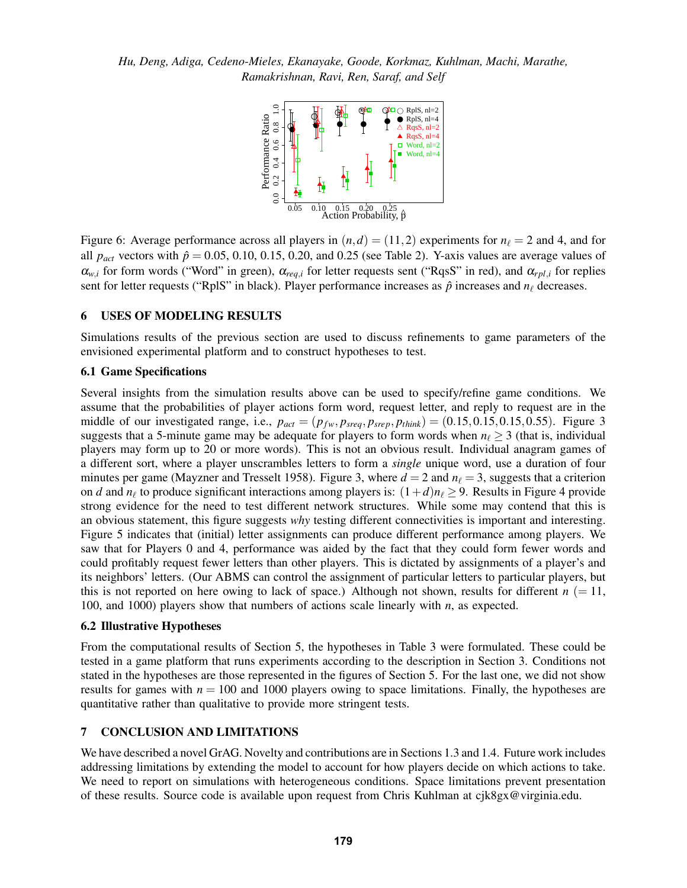

<span id="page-10-1"></span>Figure 6: Average performance across all players in  $(n,d) = (11,2)$  experiments for  $n_\ell = 2$  and 4, and for all  $p_{act}$  vectors with  $\hat{p} = 0.05, 0.10, 0.15, 0.20$ , and 0.25 (see Table [2\)](#page-7-0). Y-axis values are average values of  $\alpha_{w,i}$  for form words ("Word" in green),  $\alpha_{req,i}$  for letter requests sent ("RqsS" in red), and  $\alpha_{rpl,i}$  for replies sent for letter requests ("RplS" in black). Player performance increases as  $\hat{p}$  increases and  $n_\ell$  decreases.

## <span id="page-10-0"></span>6 USES OF MODELING RESULTS

Simulations results of the previous section are used to discuss refinements to game parameters of the envisioned experimental platform and to construct hypotheses to test.

## 6.1 Game Specifications

Several insights from the simulation results above can be used to specify/refine game conditions. We assume that the probabilities of player actions form word, request letter, and reply to request are in the middle of our investigated range, i.e.,  $p_{act} = (p_{fw}, p_{sreq}, p_{srep}, p_{think}) = (0.15, 0.15, 0.15, 0.55)$ . Figure [3](#page-8-0) suggests that a 5-minute game may be adequate for players to form words when  $n_\ell \geq 3$  (that is, individual players may form up to 20 or more words). This is not an obvious result. Individual anagram games of a different sort, where a player unscrambles letters to form a *single* unique word, use a duration of four minutes per game [\(Mayzner and Tresselt 1958\)](#page-11-3). Figure [3,](#page-8-0) where  $d = 2$  and  $n<sub>\ell</sub> = 3$ , suggests that a criterion on *d* and  $n_\ell$  to produce significant interactions among players is:  $(1+d)n_\ell \geq 9$ . Results in Figure [4](#page-9-0) provide strong evidence for the need to test different network structures. While some may contend that this is an obvious statement, this figure suggests *why* testing different connectivities is important and interesting. Figure [5](#page-9-4) indicates that (initial) letter assignments can produce different performance among players. We saw that for Players 0 and 4, performance was aided by the fact that they could form fewer words and could profitably request fewer letters than other players. This is dictated by assignments of a player's and its neighbors' letters. (Our ABMS can control the assignment of particular letters to particular players, but this is not reported on here owing to lack of space.) Although not shown, results for different  $n (= 11,$ 100, and 1000) players show that numbers of actions scale linearly with *n*, as expected.

### 6.2 Illustrative Hypotheses

From the computational results of Section [5,](#page-6-0) the hypotheses in Table [3](#page-11-7) were formulated. These could be tested in a game platform that runs experiments according to the description in Section [3.](#page-3-0) Conditions not stated in the hypotheses are those represented in the figures of Section [5.](#page-6-0) For the last one, we did not show results for games with  $n = 100$  and 1000 players owing to space limitations. Finally, the hypotheses are quantitative rather than qualitative to provide more stringent tests.

#### 7 CONCLUSION AND LIMITATIONS

We have described a novel GrAG. Novelty and contributions are in Sections [1.3](#page-2-1) and [1.4.](#page-2-2) Future work includes addressing limitations by extending the model to account for how players decide on which actions to take. We need to report on simulations with heterogeneous conditions. Space limitations prevent presentation of these results. Source code is available upon request from Chris Kuhlman at cjk8gx@virginia.edu.